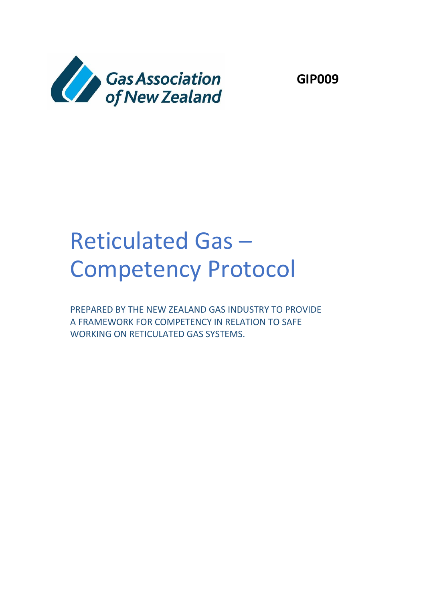

**GIP009**

# Reticulated Gas – Competency Protocol

PREPARED BY THE NEW ZEALAND GAS INDUSTRY TO PROVIDE A FRAMEWORK FOR COMPETENCY IN RELATION TO SAFE WORKING ON RETICULATED GAS SYSTEMS.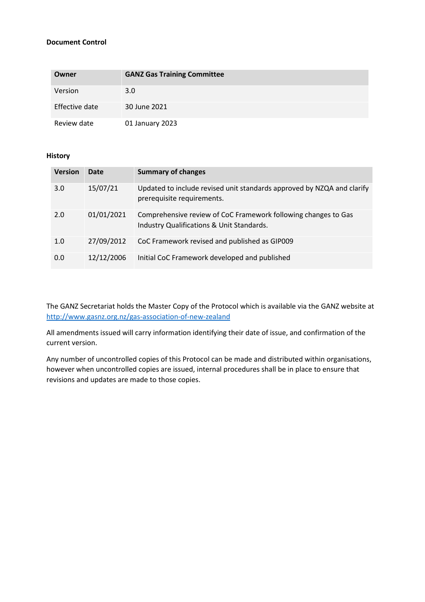#### **Document Control**

| Owner          | <b>GANZ Gas Training Committee</b> |
|----------------|------------------------------------|
| Version        | 3.0                                |
| Effective date | 30 June 2021                       |
| Review date    | 01 January 2023                    |

#### **History**

| <b>Version</b> | Date       | <b>Summary of changes</b>                                                                                   |
|----------------|------------|-------------------------------------------------------------------------------------------------------------|
| 3.0            | 15/07/21   | Updated to include revised unit standards approved by NZQA and clarify<br>prerequisite requirements.        |
| 2.0            | 01/01/2021 | Comprehensive review of CoC Framework following changes to Gas<br>Industry Qualifications & Unit Standards. |
| 1.0            | 27/09/2012 | CoC Framework revised and published as GIP009                                                               |
| 0.0            | 12/12/2006 | Initial CoC Framework developed and published                                                               |

The GANZ Secretariat holds the Master Copy of the Protocol which is available via the GANZ website at <http://www.gasnz.org.nz/gas-association-of-new-zealand>

All amendments issued will carry information identifying their date of issue, and confirmation of the current version.

Any number of uncontrolled copies of this Protocol can be made and distributed within organisations, however when uncontrolled copies are issued, internal procedures shall be in place to ensure that revisions and updates are made to those copies.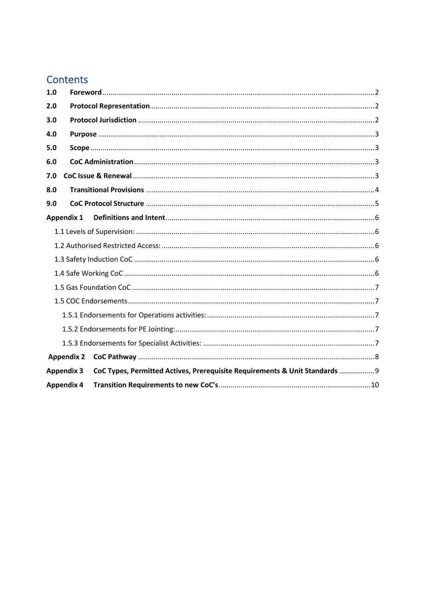# Contents

| 1.0               |                                                                             |  |  |  |  |
|-------------------|-----------------------------------------------------------------------------|--|--|--|--|
| 2.0               |                                                                             |  |  |  |  |
| 3.0               |                                                                             |  |  |  |  |
| 4.0               |                                                                             |  |  |  |  |
| 5.0               |                                                                             |  |  |  |  |
| 6.0               |                                                                             |  |  |  |  |
| 7.0               |                                                                             |  |  |  |  |
| 8.0               |                                                                             |  |  |  |  |
| 9.0               |                                                                             |  |  |  |  |
| <b>Appendix 1</b> |                                                                             |  |  |  |  |
|                   |                                                                             |  |  |  |  |
|                   |                                                                             |  |  |  |  |
|                   |                                                                             |  |  |  |  |
|                   |                                                                             |  |  |  |  |
|                   |                                                                             |  |  |  |  |
|                   |                                                                             |  |  |  |  |
|                   |                                                                             |  |  |  |  |
|                   |                                                                             |  |  |  |  |
|                   |                                                                             |  |  |  |  |
| <b>Appendix 2</b> |                                                                             |  |  |  |  |
| <b>Appendix 3</b> | CoC Types, Permitted Actives, Prerequisite Requirements & Unit Standards  9 |  |  |  |  |
| <b>Appendix 4</b> |                                                                             |  |  |  |  |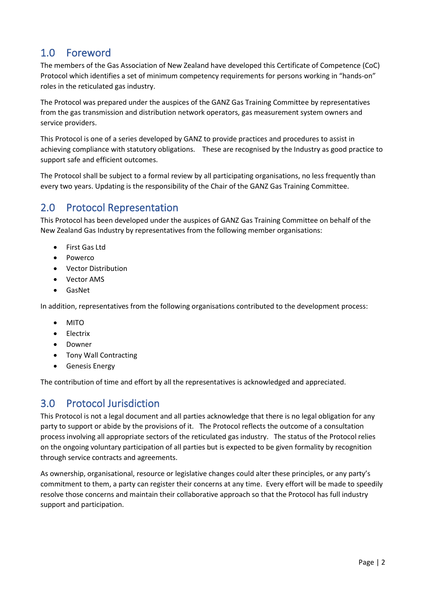# <span id="page-3-0"></span>1.0 Foreword

The members of the Gas Association of New Zealand have developed this Certificate of Competence (CoC) Protocol which identifies a set of minimum competency requirements for persons working in "hands-on" roles in the reticulated gas industry.

The Protocol was prepared under the auspices of the GANZ Gas Training Committee by representatives from the gas transmission and distribution network operators, gas measurement system owners and service providers.

This Protocol is one of a series developed by GANZ to provide practices and procedures to assist in achieving compliance with statutory obligations. These are recognised by the Industry as good practice to support safe and efficient outcomes.

The Protocol shall be subject to a formal review by all participating organisations, no less frequently than every two years. Updating is the responsibility of the Chair of the GANZ Gas Training Committee.

# <span id="page-3-1"></span>2.0 Protocol Representation

This Protocol has been developed under the auspices of GANZ Gas Training Committee on behalf of the New Zealand Gas Industry by representatives from the following member organisations:

- First Gas Ltd
- Powerco
- Vector Distribution
- Vector AMS
- GasNet

In addition, representatives from the following organisations contributed to the development process:

- MITO
- Electrix
- Downer
- Tony Wall Contracting
- Genesis Energy

The contribution of time and effort by all the representatives is acknowledged and appreciated.

# <span id="page-3-2"></span>3.0 Protocol Jurisdiction

This Protocol is not a legal document and all parties acknowledge that there is no legal obligation for any party to support or abide by the provisions of it. The Protocol reflects the outcome of a consultation process involving all appropriate sectors of the reticulated gas industry. The status of the Protocol relies on the ongoing voluntary participation of all parties but is expected to be given formality by recognition through service contracts and agreements.

As ownership, organisational, resource or legislative changes could alter these principles, or any party's commitment to them, a party can register their concerns at any time. Every effort will be made to speedily resolve those concerns and maintain their collaborative approach so that the Protocol has full industry support and participation.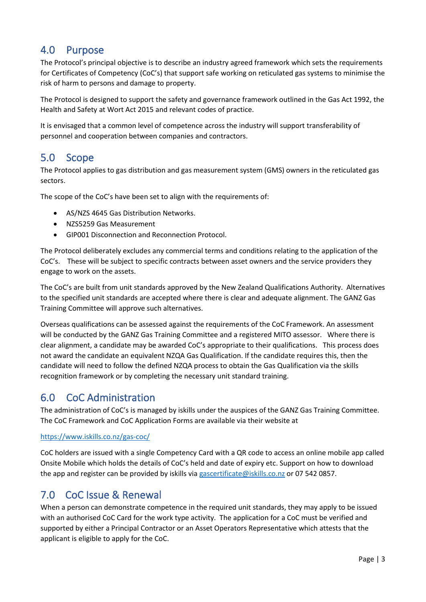# <span id="page-4-0"></span>4.0 Purpose

The Protocol's principal objective is to describe an industry agreed framework which sets the requirements for Certificates of Competency (CoC's) that support safe working on reticulated gas systems to minimise the risk of harm to persons and damage to property.

The Protocol is designed to support the safety and governance framework outlined in the Gas Act 1992, the Health and Safety at Wort Act 2015 and relevant codes of practice.

It is envisaged that a common level of competence across the industry will support transferability of personnel and cooperation between companies and contractors.

# <span id="page-4-1"></span>5.0 Scope

The Protocol applies to gas distribution and gas measurement system (GMS) owners in the reticulated gas sectors.

The scope of the CoC's have been set to align with the requirements of:

- AS/NZS 4645 Gas Distribution Networks.
- NZS5259 Gas Measurement
- GIP001 Disconnection and Reconnection Protocol.

The Protocol deliberately excludes any commercial terms and conditions relating to the application of the CoC's. These will be subject to specific contracts between asset owners and the service providers they engage to work on the assets.

The CoC's are built from unit standards approved by the New Zealand Qualifications Authority. Alternatives to the specified unit standards are accepted where there is clear and adequate alignment. The GANZ Gas Training Committee will approve such alternatives.

Overseas qualifications can be assessed against the requirements of the CoC Framework. An assessment will be conducted by the GANZ Gas Training Committee and a registered MITO assessor. Where there is clear alignment, a candidate may be awarded CoC's appropriate to their qualifications. This process does not award the candidate an equivalent NZQA Gas Qualification. If the candidate requires this, then the candidate will need to follow the defined NZQA process to obtain the Gas Qualification via the skills recognition framework or by completing the necessary unit standard training.

# <span id="page-4-2"></span>6.0 CoC Administration

The administration of CoC's is managed by iskills under the auspices of the GANZ Gas Training Committee. The CoC Framework and CoC Application Forms are available via their website at

#### <https://www.iskills.co.nz/gas-coc/>

CoC holders are issued with a single Competency Card with a QR code to access an online mobile app called Onsite Mobile which holds the details of CoC's held and date of expiry etc. Support on how to download the app and register can be provided by iskills vi[a gascertificate@iskills.co.nz](mailto:gascertificate@iskills.co.nz) or 07 542 0857.

## <span id="page-4-3"></span>7.0 CoC Issue & Renewal

When a person can demonstrate competence in the required unit standards, they may apply to be issued with an authorised CoC Card for the work type activity. The application for a CoC must be verified and supported by either a Principal Contractor or an Asset Operators Representative which attests that the applicant is eligible to apply for the CoC.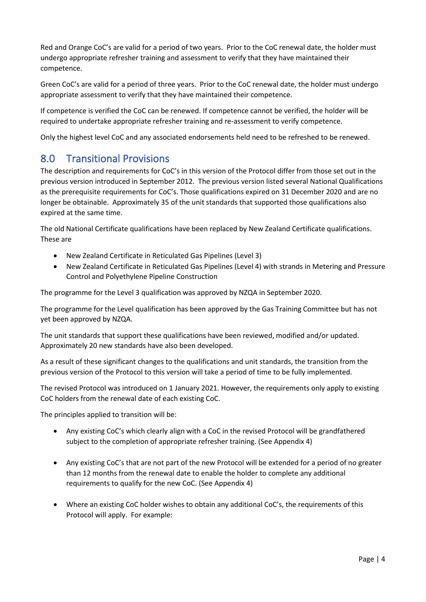Red and Orange CoC's are valid for a period of two years. Prior to the CoC renewal date, the holder must undergo appropriate refresher training and assessment to verify that they have maintained their competence.

Green CoC's are valid for a period of three years. Prior to the CoC renewal date, the holder must undergo appropriate assessment to verify that they have maintained their competence.

If competence is verified the CoC can be renewed. If competence cannot be verified, the holder will be required to undertake appropriate refresher training and re-assessment to verify competence.

Only the highest level CoC and any associated endorsements held need to be refreshed to be renewed.

# <span id="page-5-0"></span>8.0 Transitional Provisions

The description and requirements for CoC's in this version of the Protocol differ from those set out in the previous version introduced in September 2012. The previous version listed several National Qualifications as the prerequisite requirements for CoC's. Those qualifications expired on 31 December 2020 and are no longer be obtainable. Approximately 35 of the unit standards that supported those qualifications also expired at the same time.

The old National Certificate qualifications have been replaced by New Zealand Certificate qualifications. These are

- New Zealand Certificate in Reticulated Gas Pipelines (Level 3)
- New Zealand Certificate in Reticulated Gas Pipelines (Level 4) with strands in Metering and Pressure Control and Polyethylene Pipeline Construction

The programme for the Level 3 qualification was approved by NZQA in September 2020.

The programme for the Level qualification has been approved by the Gas Training Committee but has not yet been approved by NZQA.

The unit standards that support these qualifications have been reviewed, modified and/or updated. Approximately 20 new standards have also been developed.

As a result of these significant changes to the qualifications and unit standards, the transition from the previous version of the Protocol to this version will take a period of time to be fully implemented.

The revised Protocol was introduced on 1 January 2021. However, the requirements only apply to existing CoC holders from the renewal date of each existing CoC.

The principles applied to transition will be:

- Any existing CoC's which clearly align with a CoC in the revised Protocol will be grandfathered subject to the completion of appropriate refresher training. (See Appendix 4)
- Any existing CoC's that are not part of the new Protocol will be extended for a period of no greater than 12 months from the renewal date to enable the holder to complete any additional requirements to qualify for the new CoC. (See Appendix 4)
- Where an existing CoC holder wishes to obtain any additional CoC's, the requirements of this Protocol will apply. For example: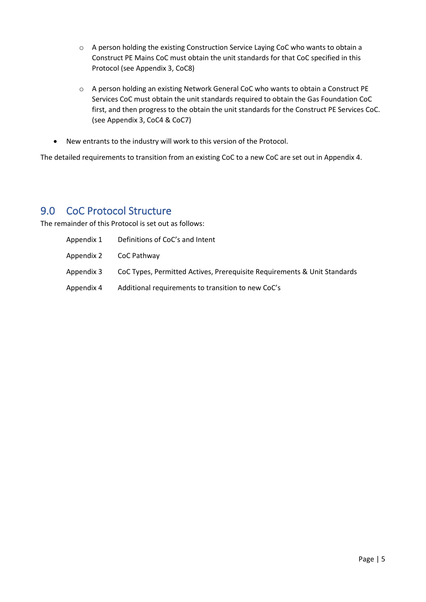- o A person holding the existing Construction Service Laying CoC who wants to obtain a Construct PE Mains CoC must obtain the unit standards for that CoC specified in this Protocol (see Appendix 3, CoC8)
- o A person holding an existing Network General CoC who wants to obtain a Construct PE Services CoC must obtain the unit standards required to obtain the Gas Foundation CoC first, and then progress to the obtain the unit standards for the Construct PE Services CoC. (see Appendix 3, CoC4 & CoC7)
- New entrants to the industry will work to this version of the Protocol.

The detailed requirements to transition from an existing CoC to a new CoC are set out in Appendix 4.

## <span id="page-6-0"></span>9.0 CoC Protocol Structure

The remainder of this Protocol is set out as follows:

| Appendix 1 | Definitions of CoC's and Intent                                          |
|------------|--------------------------------------------------------------------------|
| Appendix 2 | CoC Pathway                                                              |
| Appendix 3 | CoC Types, Permitted Actives, Prerequisite Requirements & Unit Standards |
| Appendix 4 | Additional requirements to transition to new CoC's                       |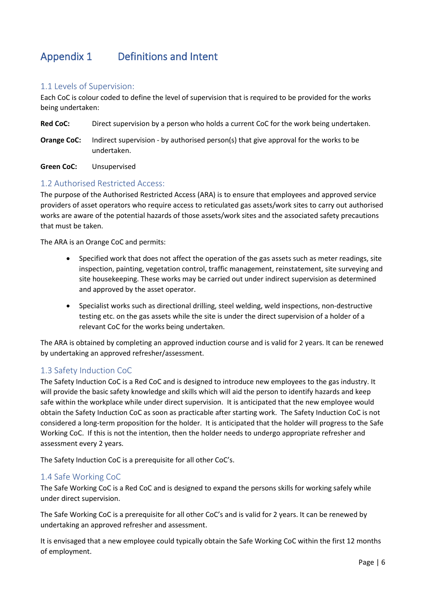# <span id="page-7-0"></span>Appendix 1 Definitions and Intent

#### <span id="page-7-1"></span>1.1 Levels of Supervision:

Each CoC is colour coded to define the level of supervision that is required to be provided for the works being undertaken:

**Red CoC:** Direct supervision by a person who holds a current CoC for the work being undertaken.

**Orange CoC:** Indirect supervision - by authorised person(s) that give approval for the works to be undertaken.

**Green CoC:** Unsupervised

#### <span id="page-7-2"></span>1.2 Authorised Restricted Access:

The purpose of the Authorised Restricted Access (ARA) is to ensure that employees and approved service providers of asset operators who require access to reticulated gas assets/work sites to carry out authorised works are aware of the potential hazards of those assets/work sites and the associated safety precautions that must be taken.

The ARA is an Orange CoC and permits:

- Specified work that does not affect the operation of the gas assets such as meter readings, site inspection, painting, vegetation control, traffic management, reinstatement, site surveying and site housekeeping. These works may be carried out under indirect supervision as determined and approved by the asset operator.
- Specialist works such as directional drilling, steel welding, weld inspections, non-destructive testing etc. on the gas assets while the site is under the direct supervision of a holder of a relevant CoC for the works being undertaken.

The ARA is obtained by completing an approved induction course and is valid for 2 years. It can be renewed by undertaking an approved refresher/assessment.

#### <span id="page-7-3"></span>1.3 Safety Induction CoC

The Safety Induction CoC is a Red CoC and is designed to introduce new employees to the gas industry. It will provide the basic safety knowledge and skills which will aid the person to identify hazards and keep safe within the workplace while under direct supervision. It is anticipated that the new employee would obtain the Safety Induction CoC as soon as practicable after starting work. The Safety Induction CoC is not considered a long-term proposition for the holder. It is anticipated that the holder will progress to the Safe Working CoC. If this is not the intention, then the holder needs to undergo appropriate refresher and assessment every 2 years.

The Safety Induction CoC is a prerequisite for all other CoC's.

#### <span id="page-7-4"></span>1.4 Safe Working CoC

The Safe Working CoC is a Red CoC and is designed to expand the persons skills for working safely while under direct supervision.

The Safe Working CoC is a prerequisite for all other CoC's and is valid for 2 years. It can be renewed by undertaking an approved refresher and assessment.

It is envisaged that a new employee could typically obtain the Safe Working CoC within the first 12 months of employment.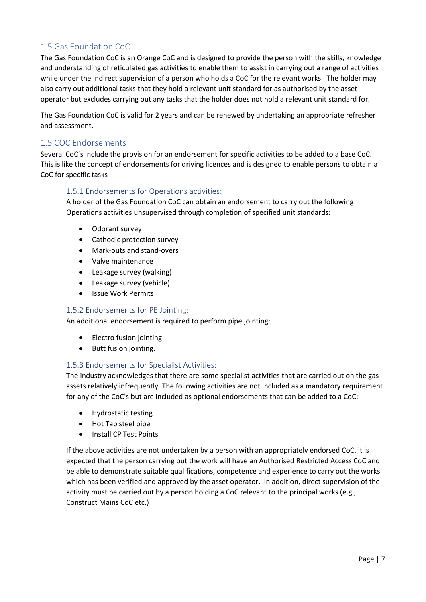#### <span id="page-8-0"></span>1.5 Gas Foundation CoC

The Gas Foundation CoC is an Orange CoC and is designed to provide the person with the skills, knowledge and understanding of reticulated gas activities to enable them to assist in carrying out a range of activities while under the indirect supervision of a person who holds a CoC for the relevant works. The holder may also carry out additional tasks that they hold a relevant unit standard for as authorised by the asset operator but excludes carrying out any tasks that the holder does not hold a relevant unit standard for.

The Gas Foundation CoC is valid for 2 years and can be renewed by undertaking an appropriate refresher and assessment.

#### <span id="page-8-1"></span>1.5 COC Endorsements

Several CoC's include the provision for an endorsement for specific activities to be added to a base CoC. This is like the concept of endorsements for driving licences and is designed to enable persons to obtain a CoC for specific tasks

#### <span id="page-8-2"></span>1.5.1 Endorsements for Operations activities:

A holder of the Gas Foundation CoC can obtain an endorsement to carry out the following Operations activities unsupervised through completion of specified unit standards:

- Odorant survey
- Cathodic protection survey
- Mark-outs and stand-overs
- Valve maintenance
- Leakage survey (walking)
- Leakage survey (vehicle)
- Issue Work Permits

#### <span id="page-8-3"></span>1.5.2 Endorsements for PE Jointing:

An additional endorsement is required to perform pipe jointing:

- Electro fusion jointing
- Butt fusion jointing.

#### <span id="page-8-4"></span>1.5.3 Endorsements for Specialist Activities:

The industry acknowledges that there are some specialist activities that are carried out on the gas assets relatively infrequently. The following activities are not included as a mandatory requirement for any of the CoC's but are included as optional endorsements that can be added to a CoC:

- Hydrostatic testing
- Hot Tap steel pipe
- Install CP Test Points

If the above activities are not undertaken by a person with an appropriately endorsed CoC, it is expected that the person carrying out the work will have an Authorised Restricted Access CoC and be able to demonstrate suitable qualifications, competence and experience to carry out the works which has been verified and approved by the asset operator. In addition, direct supervision of the activity must be carried out by a person holding a CoC relevant to the principal works (e.g., Construct Mains CoC etc.)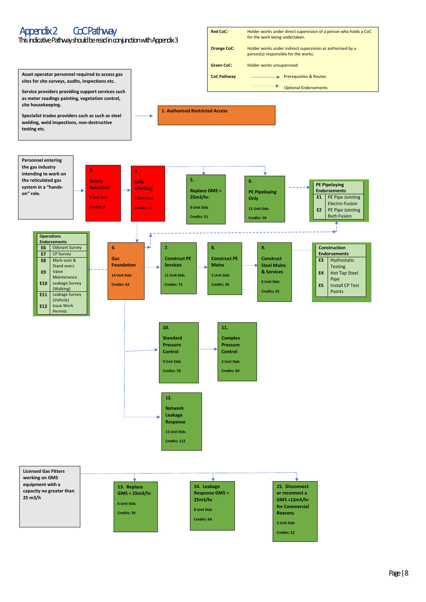

This indicative Pathway should be read in conjunction with Appendix 3

# <span id="page-9-0"></span>Appendix 2 CoC Pathway

**Asset operator personnel required to access gas sites for site surveys, audits, inspections etc.**



**Service providers providing support services such** 

**as meter readings painting, vegetation control, site housekeeping.**

**Specialist trades providers such as such as steel welding, weld inspections, non-destructive testing etc.**

**1. Authorised Restricted Access**



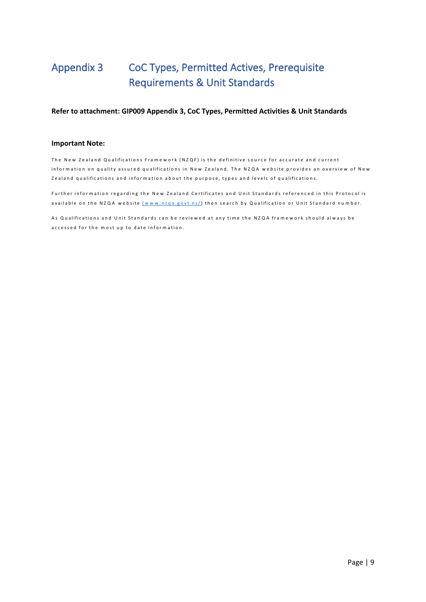# <span id="page-10-0"></span>Appendix 3 CoC Types, Permitted Actives, Prerequisite Requirements & Unit Standards

#### **Refer to attachment: GIP009 Appendix 3, CoC Types, Permitted Activities & Unit Standards**

#### **Important Note:**

The New Zealand Qualifications Framework (NZQF) is the definitive source for accurate and current infor mation on quality assured qualifications in New Zealand. The NZQA website provides an overview of New Zealand qualifications and information about the purpose, types and levels of qualifications.

Further information regarding the New Zealand Certificates and Unit Standards referenced in this Protocol is available on the NZQA website (www.nzqa.govt.nz/) then search by Qualification or Unit Standard number.

As Qualifications and Unit Standards can be reviewed at any time the NZQA framework should always be accessed for the most up to date information.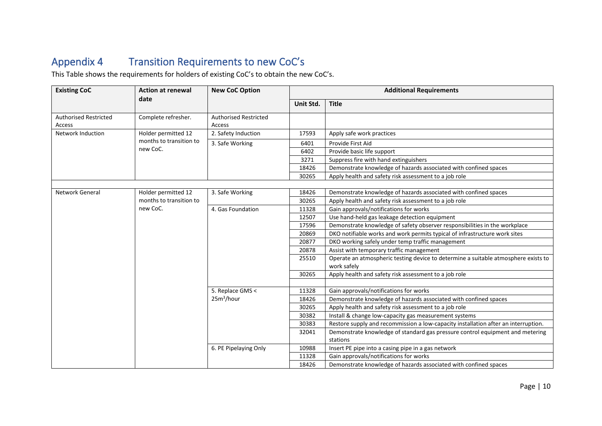# Appendix 4 Transition Requirements to new CoC's

This Table shows the requirements for holders of existing CoC's to obtain the new CoC's.

<span id="page-11-0"></span>

| <b>Existing CoC</b>                    | <b>Action at renewal</b> | <b>New CoC Option</b>                  | <b>Additional Requirements</b> |                                                                                                   |  |
|----------------------------------------|--------------------------|----------------------------------------|--------------------------------|---------------------------------------------------------------------------------------------------|--|
|                                        | date                     |                                        | Unit Std.                      | <b>Title</b>                                                                                      |  |
| <b>Authorised Restricted</b><br>Access | Complete refresher.      | <b>Authorised Restricted</b><br>Access |                                |                                                                                                   |  |
| <b>Network Induction</b>               | Holder permitted 12      | 2. Safety Induction                    | 17593                          | Apply safe work practices                                                                         |  |
|                                        | months to transition to  | 3. Safe Working                        | 6401                           | Provide First Aid                                                                                 |  |
|                                        | new CoC.                 |                                        | 6402                           | Provide basic life support                                                                        |  |
|                                        |                          |                                        | 3271                           | Suppress fire with hand extinguishers                                                             |  |
|                                        |                          |                                        | 18426                          | Demonstrate knowledge of hazards associated with confined spaces                                  |  |
|                                        |                          |                                        | 30265                          | Apply health and safety risk assessment to a job role                                             |  |
|                                        |                          |                                        |                                |                                                                                                   |  |
| <b>Network General</b>                 | Holder permitted 12      | 3. Safe Working                        | 18426                          | Demonstrate knowledge of hazards associated with confined spaces                                  |  |
|                                        | months to transition to  |                                        | 30265                          | Apply health and safety risk assessment to a job role                                             |  |
|                                        | new CoC.                 | 4. Gas Foundation                      | 11328                          | Gain approvals/notifications for works                                                            |  |
|                                        |                          |                                        | 12507                          | Use hand-held gas leakage detection equipment                                                     |  |
|                                        |                          |                                        | 17596                          | Demonstrate knowledge of safety observer responsibilities in the workplace                        |  |
|                                        |                          |                                        | 20869                          | DKO notifiable works and work permits typical of infrastructure work sites                        |  |
|                                        |                          |                                        | 20877                          | DKO working safely under temp traffic management                                                  |  |
|                                        |                          |                                        | 20878                          | Assist with temporary traffic management                                                          |  |
|                                        |                          |                                        | 25510                          | Operate an atmospheric testing device to determine a suitable atmosphere exists to<br>work safely |  |
|                                        |                          |                                        | 30265                          | Apply health and safety risk assessment to a job role                                             |  |
|                                        |                          |                                        |                                |                                                                                                   |  |
|                                        |                          | 5. Replace GMS <                       | 11328                          | Gain approvals/notifications for works                                                            |  |
|                                        |                          | 25m <sup>3</sup> /hour                 | 18426                          | Demonstrate knowledge of hazards associated with confined spaces                                  |  |
|                                        |                          |                                        | 30265                          | Apply health and safety risk assessment to a job role                                             |  |
|                                        |                          |                                        | 30382                          | Install & change low-capacity gas measurement systems                                             |  |
|                                        |                          |                                        | 30383                          | Restore supply and recommission a low-capacity installation after an interruption.                |  |
|                                        |                          |                                        | 32041                          | Demonstrate knowledge of standard gas pressure control equipment and metering                     |  |
|                                        |                          |                                        |                                | stations                                                                                          |  |
|                                        |                          | 6. PE Pipelaying Only                  | 10988                          | Insert PE pipe into a casing pipe in a gas network                                                |  |
|                                        |                          |                                        | 11328                          | Gain approvals/notifications for works                                                            |  |
|                                        |                          |                                        | 18426                          | Demonstrate knowledge of hazards associated with confined spaces                                  |  |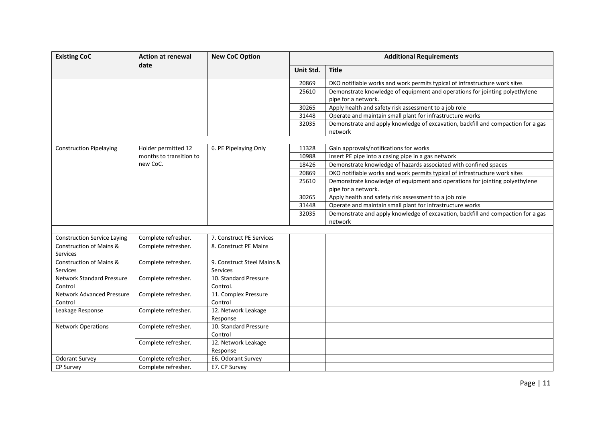| <b>Existing CoC</b>                         | <b>Action at renewal</b> | <b>New CoC Option</b>                  | <b>Additional Requirements</b> |                                                                                                    |  |
|---------------------------------------------|--------------------------|----------------------------------------|--------------------------------|----------------------------------------------------------------------------------------------------|--|
|                                             | date                     |                                        | Unit Std.                      | <b>Title</b>                                                                                       |  |
|                                             |                          |                                        | 20869                          | DKO notifiable works and work permits typical of infrastructure work sites                         |  |
|                                             |                          |                                        | 25610                          | Demonstrate knowledge of equipment and operations for jointing polyethylene<br>pipe for a network. |  |
|                                             |                          |                                        | 30265                          | Apply health and safety risk assessment to a job role                                              |  |
|                                             |                          |                                        | 31448                          | Operate and maintain small plant for infrastructure works                                          |  |
|                                             |                          |                                        | 32035                          | Demonstrate and apply knowledge of excavation, backfill and compaction for a gas<br>network        |  |
|                                             |                          |                                        |                                |                                                                                                    |  |
| <b>Construction Pipelaying</b>              | Holder permitted 12      | 6. PE Pipelaying Only                  | 11328                          | Gain approvals/notifications for works                                                             |  |
|                                             | months to transition to  |                                        | 10988                          | Insert PE pipe into a casing pipe in a gas network                                                 |  |
|                                             | new CoC.                 |                                        | 18426                          | Demonstrate knowledge of hazards associated with confined spaces                                   |  |
|                                             |                          |                                        | 20869                          | DKO notifiable works and work permits typical of infrastructure work sites                         |  |
|                                             |                          |                                        | 25610                          | Demonstrate knowledge of equipment and operations for jointing polyethylene                        |  |
|                                             |                          |                                        |                                | pipe for a network.                                                                                |  |
|                                             |                          |                                        | 30265                          | Apply health and safety risk assessment to a job role                                              |  |
|                                             |                          |                                        | 31448                          | Operate and maintain small plant for infrastructure works                                          |  |
|                                             |                          |                                        | 32035                          | Demonstrate and apply knowledge of excavation, backfill and compaction for a gas<br>network        |  |
|                                             |                          |                                        |                                |                                                                                                    |  |
| <b>Construction Service Laying</b>          | Complete refresher.      | 7. Construct PE Services               |                                |                                                                                                    |  |
| Construction of Mains &<br>Services         | Complete refresher.      | 8. Construct PE Mains                  |                                |                                                                                                    |  |
| Construction of Mains &<br>Services         | Complete refresher.      | 9. Construct Steel Mains &<br>Services |                                |                                                                                                    |  |
| <b>Network Standard Pressure</b><br>Control | Complete refresher.      | 10. Standard Pressure<br>Control.      |                                |                                                                                                    |  |
| <b>Network Advanced Pressure</b><br>Control | Complete refresher.      | 11. Complex Pressure<br>Control        |                                |                                                                                                    |  |
| Leakage Response                            | Complete refresher.      | 12. Network Leakage<br>Response        |                                |                                                                                                    |  |
| <b>Network Operations</b>                   | Complete refresher.      | 10. Standard Pressure<br>Control       |                                |                                                                                                    |  |
|                                             | Complete refresher.      | 12. Network Leakage<br>Response        |                                |                                                                                                    |  |
| <b>Odorant Survey</b>                       | Complete refresher.      | E6. Odorant Survey                     |                                |                                                                                                    |  |
| <b>CP Survey</b>                            | Complete refresher.      | E7. CP Survey                          |                                |                                                                                                    |  |